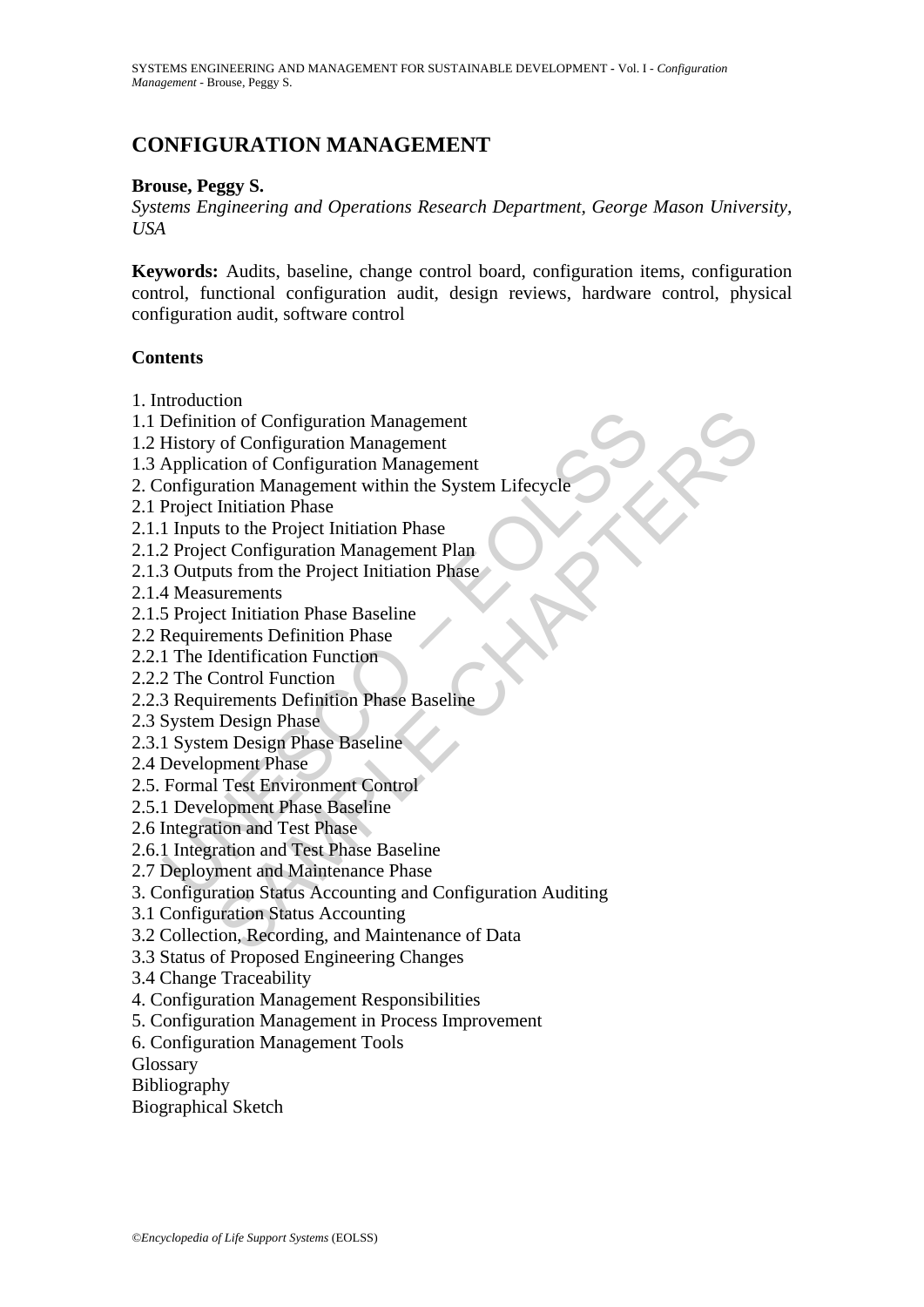# **CONFIGURATION MANAGEMENT**

### **Brouse, Peggy S.**

*Systems Engineering and Operations Research Department, George Mason University, USA* 

**Keywords:** Audits, baseline, change control board, configuration items, configuration control, functional configuration audit, design reviews, hardware control, physical configuration audit, software control

#### **Contents**

- 1. Introduction
- 1.1 Definition of Configuration Management
- 1.2 History of Configuration Management
- 1.3 Application of Configuration Management
- Definition of Configuration Management<br>
History of Configuration Management<br>
Application of Configuration Management<br>
Configuration Phase<br>
Project Initiation Phase<br>
1 Inputs to the Project Initiation Phase<br>
2 Project Initi 2. Configuration Management within the System Lifecycle
- 2.1 Project Initiation Phase
- 2.1.1 Inputs to the Project Initiation Phase
- 2.1.2 Project Configuration Management Plan
- 2.1.3 Outputs from the Project Initiation Phase
- 2.1.4 Measurements
- 2.1.5 Project Initiation Phase Baseline
- 2.2 Requirements Definition Phase
- 2.2.1 The Identification Function
- 2.2.2 The Control Function
- 2.2.3 Requirements Definition Phase Baseline
- 2.3 System Design Phase
- 2.3.1 System Design Phase Baseline
- 2.4 Development Phase
- 2.5. Formal Test Environment Control
- 2.5.1 Development Phase Baseline
- 2.6 Integration and Test Phase
- 2.6.1 Integration and Test Phase Baseline
- 2.7 Deployment and Maintenance Phase
- ion of Configuration Management<br>
of Configuration Management<br>
ration of Configuration Management<br>
ration Management within the System Lifecycle<br>
Initiation Phase<br>
to the Project Initiation Phase<br>
at to the Project Initiati 3. Configuration Status Accounting and Configuration Auditing
- 3.1 Configuration Status Accounting
- 3.2 Collection, Recording, and Maintenance of Data
- 3.3 Status of Proposed Engineering Changes
- 3.4 Change Traceability
- 4. Configuration Management Responsibilities
- 5. Configuration Management in Process Improvement
- 6. Configuration Management Tools

Glossary

Bibliography

Biographical Sketch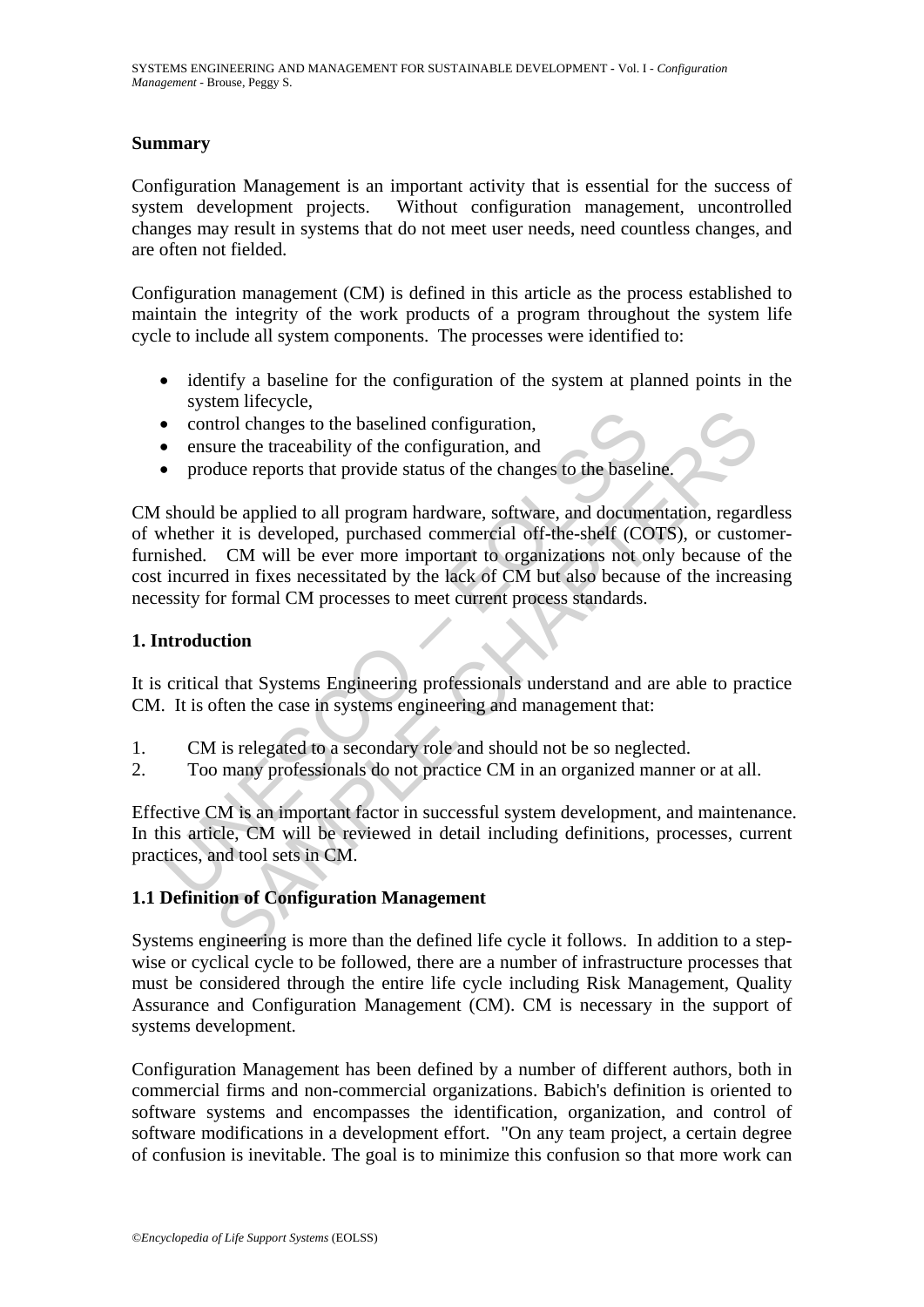### **Summary**

Configuration Management is an important activity that is essential for the success of system development projects. Without configuration management, uncontrolled changes may result in systems that do not meet user needs, need countless changes, and are often not fielded.

Configuration management (CM) is defined in this article as the process established to maintain the integrity of the work products of a program throughout the system life cycle to include all system components. The processes were identified to:

- identify a baseline for the configuration of the system at planned points in the system lifecycle,
- control changes to the baselined configuration,
- ensure the traceability of the configuration, and
- produce reports that provide status of the changes to the baseline.

• control changes to the baselined configuration,<br>
• control changes to the baselined configuration, and<br>
• produce reports that provide status of the changes to the baseli<br>
should be applied to all program hardware, softw Example the product of the baselined configuration,<br>trol changes to the baselined configuration, and<br>duce reports that provide status of the changes to the baseline.<br>It is developed, purchased commercial off-the-shelf (COT CM should be applied to all program hardware, software, and documentation, regardless of whether it is developed, purchased commercial off-the-shelf (COTS), or customerfurnished. CM will be ever more important to organizations not only because of the cost incurred in fixes necessitated by the lack of CM but also because of the increasing necessity for formal CM processes to meet current process standards.

#### **1. Introduction**

It is critical that Systems Engineering professionals understand and are able to practice CM. It is often the case in systems engineering and management that:

- 1. CM is relegated to a secondary role and should not be so neglected.
- 2. Too many professionals do not practice CM in an organized manner or at all.

Effective CM is an important factor in successful system development, and maintenance. In this article, CM will be reviewed in detail including definitions, processes, current practices, and tool sets in CM.

#### **1.1 Definition of Configuration Management**

Systems engineering is more than the defined life cycle it follows. In addition to a stepwise or cyclical cycle to be followed, there are a number of infrastructure processes that must be considered through the entire life cycle including Risk Management, Quality Assurance and Configuration Management (CM). CM is necessary in the support of systems development.

Configuration Management has been defined by a number of different authors, both in commercial firms and non-commercial organizations. Babich's definition is oriented to software systems and encompasses the identification, organization, and control of software modifications in a development effort. "On any team project, a certain degree of confusion is inevitable. The goal is to minimize this confusion so that more work can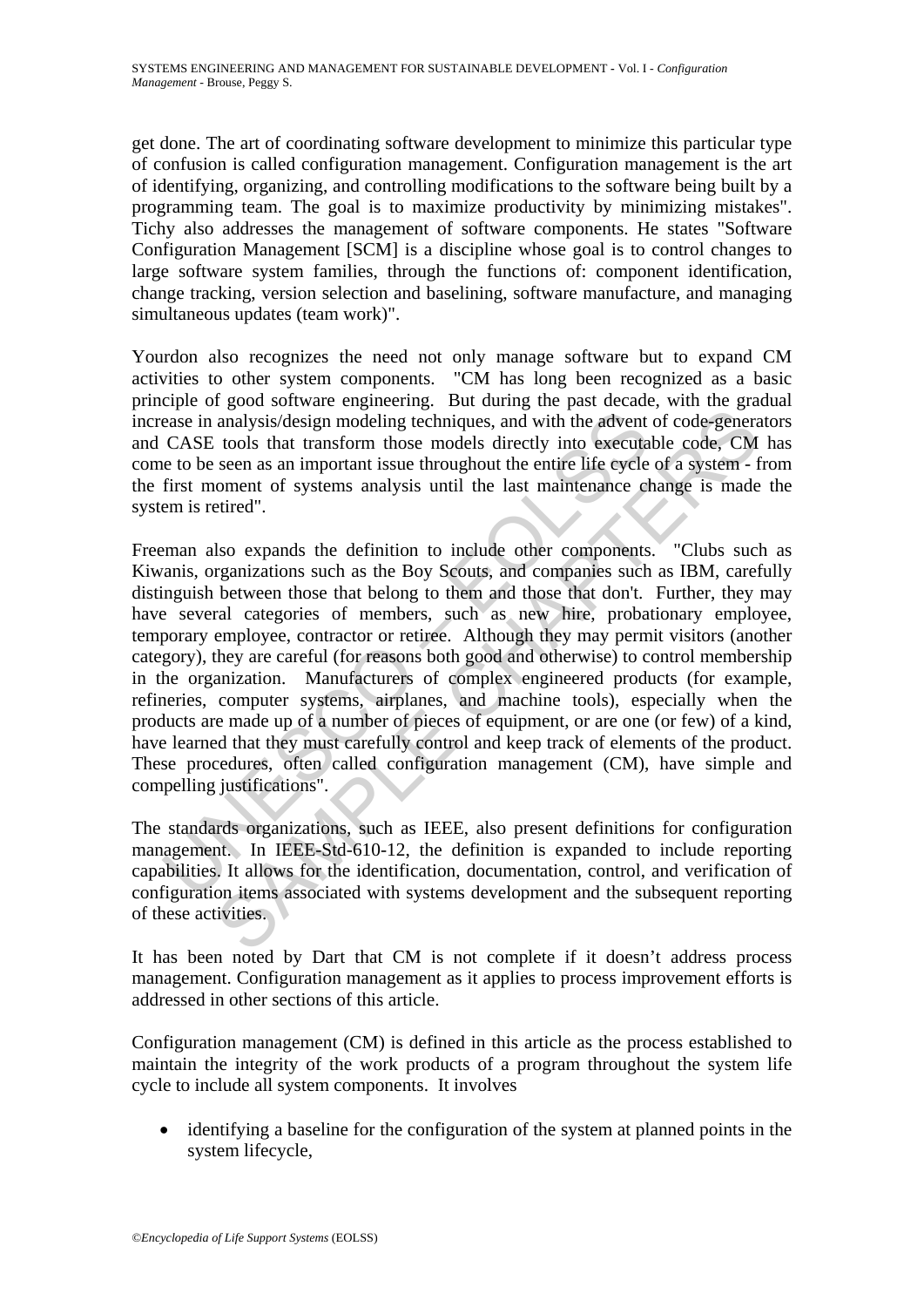get done. The art of coordinating software development to minimize this particular type of confusion is called configuration management. Configuration management is the art of identifying, organizing, and controlling modifications to the software being built by a programming team. The goal is to maximize productivity by minimizing mistakes". Tichy also addresses the management of software components. He states "Software Configuration Management [SCM] is a discipline whose goal is to control changes to large software system families, through the functions of: component identification, change tracking, version selection and baselining, software manufacture, and managing simultaneous updates (team work)".

Yourdon also recognizes the need not only manage software but to expand CM activities to other system components. "CM has long been recognized as a basic principle of good software engineering. But during the past decade, with the gradual increase in analysis/design modeling techniques, and with the advent of code-generators and CASE tools that transform those models directly into executable code, CM has come to be seen as an important issue throughout the entire life cycle of a system - from the first moment of systems analysis until the last maintenance change is made the system is retired".

ease in analysis/design modeling techniques, and with the advent<br>CASE tools that transform those models directly into executa<br>te to be seen as an important issue throughout the entire life cycle<br>first moment of systems ana analysis/design modeling techniques, and with the advent of code-generations analysis/design modeling techniques, and with the advent of code-generations are tools that transform those models directly into executable code. Freeman also expands the definition to include other components. "Clubs such as Kiwanis, organizations such as the Boy Scouts, and companies such as IBM, carefully distinguish between those that belong to them and those that don't. Further, they may have several categories of members, such as new hire, probationary employee, temporary employee, contractor or retiree. Although they may permit visitors (another category), they are careful (for reasons both good and otherwise) to control membership in the organization. Manufacturers of complex engineered products (for example, refineries, computer systems, airplanes, and machine tools), especially when the products are made up of a number of pieces of equipment, or are one (or few) of a kind, have learned that they must carefully control and keep track of elements of the product. These procedures, often called configuration management (CM), have simple and compelling justifications".

The standards organizations, such as IEEE, also present definitions for configuration management. In IEEE-Std-610-12, the definition is expanded to include reporting capabilities. It allows for the identification, documentation, control, and verification of configuration items associated with systems development and the subsequent reporting of these activities.

It has been noted by Dart that CM is not complete if it doesn't address process management. Configuration management as it applies to process improvement efforts is addressed in other sections of this article.

Configuration management (CM) is defined in this article as the process established to maintain the integrity of the work products of a program throughout the system life cycle to include all system components. It involves

• identifying a baseline for the configuration of the system at planned points in the system lifecycle,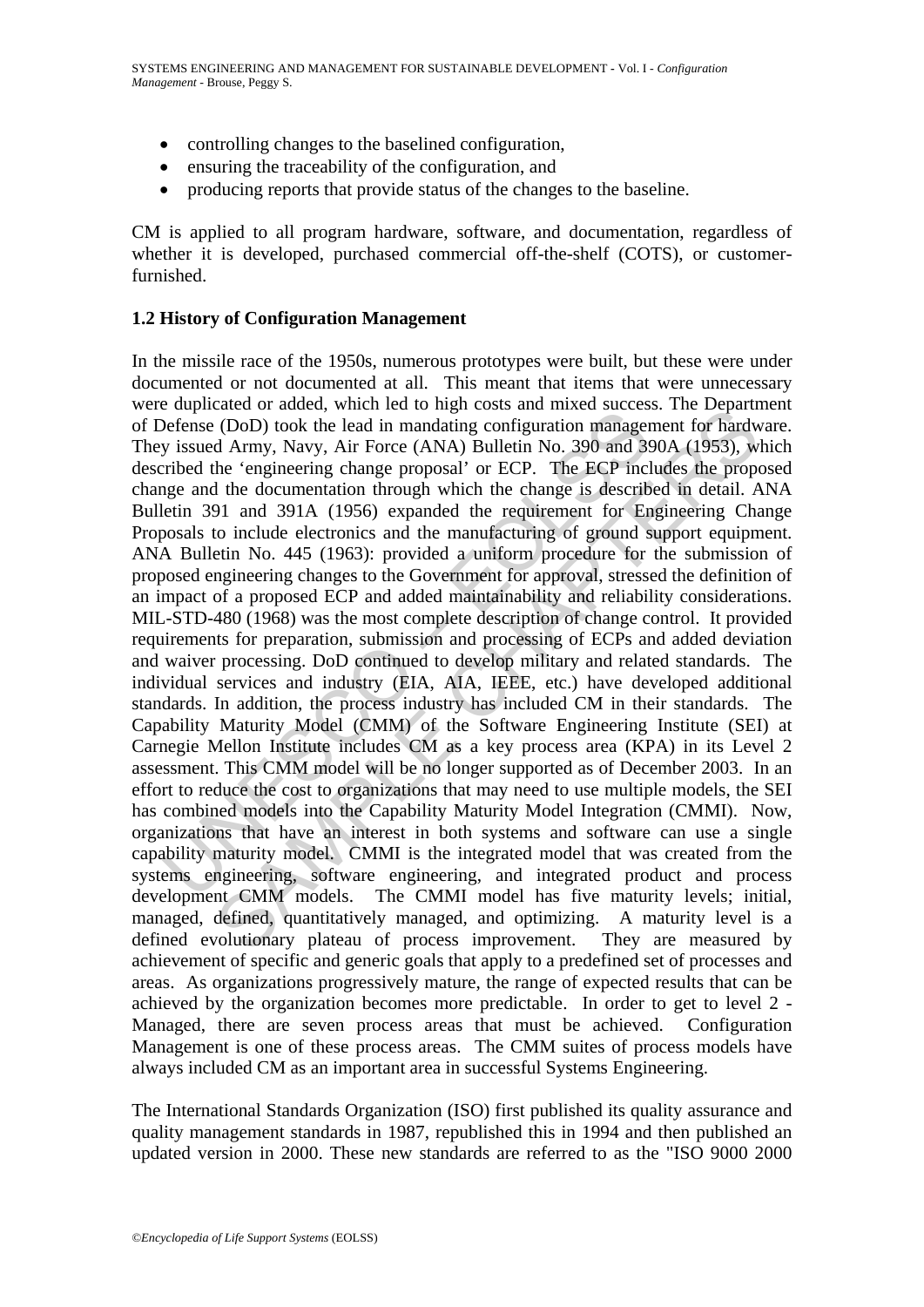- controlling changes to the baselined configuration,
- ensuring the traceability of the configuration, and
- producing reports that provide status of the changes to the baseline.

CM is applied to all program hardware, software, and documentation, regardless of whether it is developed, purchased commercial off-the-shelf (COTS), or customerfurnished.

### **1.2 History of Configuration Management**

simple and matrice of tasking many costs and mack of the cost of the constrained and mandating configuration managery issued Army, Navy, Air Force (ANA) Bulletin No. 390 and 39 rivibed the 'engineering change proposal' or care of actomet, winn reto to ingit costs and inacts attacts. The Depart (CIOD) took the lead in mandating configuration management for bardyd Army, Navy, Air Force (ANA) Bulletin No. 390 and 390A (1953), whe 'engineering In the missile race of the 1950s, numerous prototypes were built, but these were under documented or not documented at all. This meant that items that were unnecessary were duplicated or added, which led to high costs and mixed success. The Department of Defense (DoD) took the lead in mandating configuration management for hardware. They issued Army, Navy, Air Force (ANA) Bulletin No. 390 and 390A (1953), which described the 'engineering change proposal' or ECP. The ECP includes the proposed change and the documentation through which the change is described in detail. ANA Bulletin 391 and 391A (1956) expanded the requirement for Engineering Change Proposals to include electronics and the manufacturing of ground support equipment. ANA Bulletin No. 445 (1963): provided a uniform procedure for the submission of proposed engineering changes to the Government for approval, stressed the definition of an impact of a proposed ECP and added maintainability and reliability considerations. MIL-STD-480 (1968) was the most complete description of change control. It provided requirements for preparation, submission and processing of ECPs and added deviation and waiver processing. DoD continued to develop military and related standards. The individual services and industry (EIA, AIA, IEEE, etc.) have developed additional standards. In addition, the process industry has included CM in their standards. The Capability Maturity Model (CMM) of the Software Engineering Institute (SEI) at Carnegie Mellon Institute includes CM as a key process area (KPA) in its Level 2 assessment. This CMM model will be no longer supported as of December 2003. In an effort to reduce the cost to organizations that may need to use multiple models, the SEI has combined models into the Capability Maturity Model Integration (CMMI). Now, organizations that have an interest in both systems and software can use a single capability maturity model. CMMI is the integrated model that was created from the systems engineering, software engineering, and integrated product and process development CMM models. The CMMI model has five maturity levels; initial, managed, defined, quantitatively managed, and optimizing. A maturity level is a defined evolutionary plateau of process improvement. They are measured by achievement of specific and generic goals that apply to a predefined set of processes and areas. As organizations progressively mature, the range of expected results that can be achieved by the organization becomes more predictable. In order to get to level 2 - Managed, there are seven process areas that must be achieved. Configuration Management is one of these process areas. The CMM suites of process models have always included CM as an important area in successful Systems Engineering.

The International Standards Organization (ISO) first published its quality assurance and quality management standards in 1987, republished this in 1994 and then published an updated version in 2000. These new standards are referred to as the "ISO 9000 2000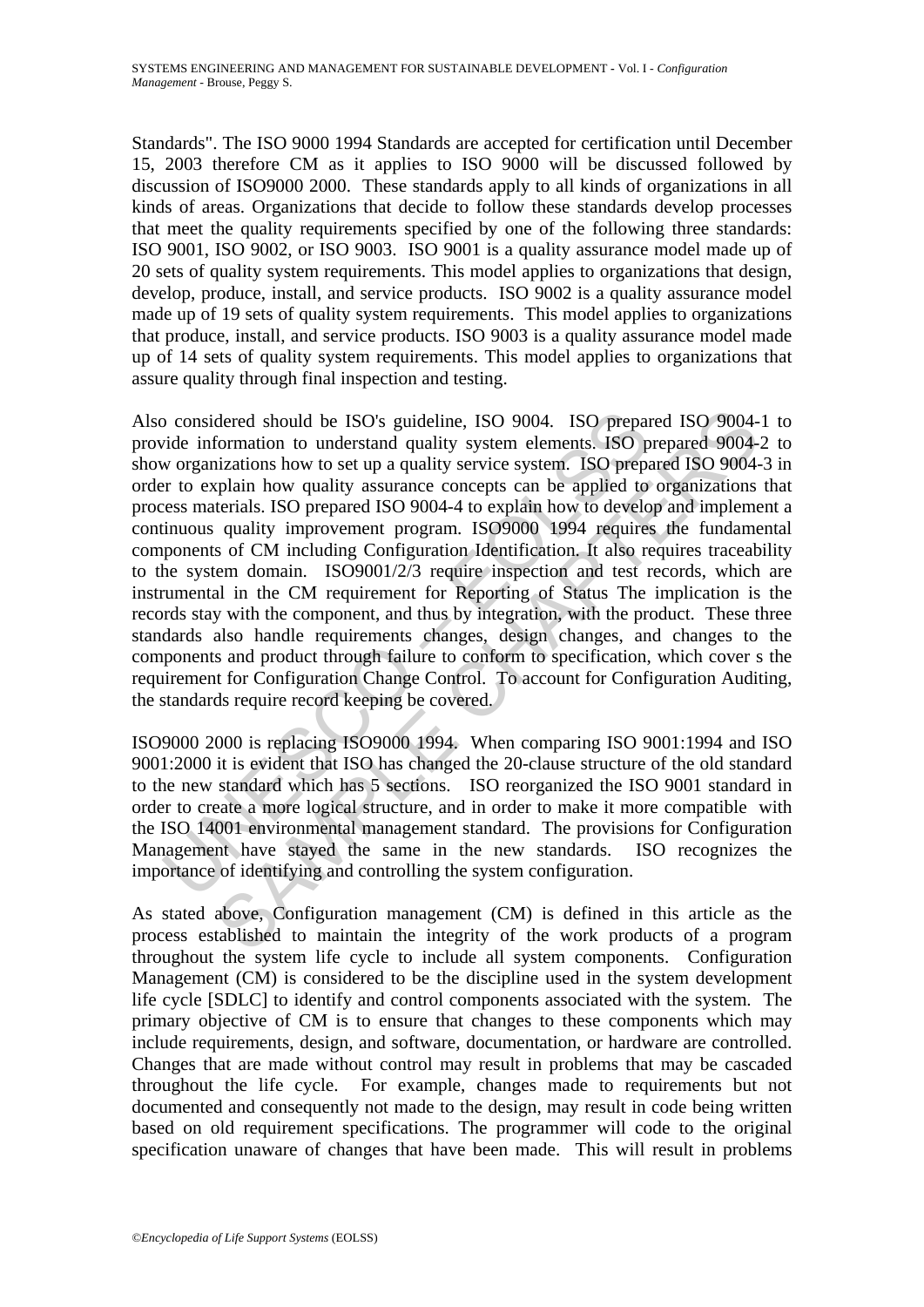Standards". The ISO 9000 1994 Standards are accepted for certification until December 15, 2003 therefore CM as it applies to ISO 9000 will be discussed followed by discussion of ISO9000 2000. These standards apply to all kinds of organizations in all kinds of areas. Organizations that decide to follow these standards develop processes that meet the quality requirements specified by one of the following three standards: ISO 9001, ISO 9002, or ISO 9003. ISO 9001 is a quality assurance model made up of 20 sets of quality system requirements. This model applies to organizations that design, develop, produce, install, and service products. ISO 9002 is a quality assurance model made up of 19 sets of quality system requirements. This model applies to organizations that produce, install, and service products. ISO 9003 is a quality assurance model made up of 14 sets of quality system requirements. This model applies to organizations that assure quality through final inspection and testing.

b considered should be ISO's guideline, ISO 9004. ISO prepand<br>ide information to understand quality system elements. ISO prepand<br>ide informations how to set up a quality service system. ISO prepart<br>or to explain how qualit dered should be ISO's guideline, ISO 9004. ISO prepared ISO 9004-<br>formation to understand quality system elements. ISO prepared 9004-<br>izzations how to set up a quality service system. ISO prepared 180 9004-<br>izzations how t Also considered should be ISO's guideline, ISO 9004. ISO prepared ISO 9004-1 to provide information to understand quality system elements. ISO prepared 9004-2 to show organizations how to set up a quality service system. ISO prepared ISO 9004-3 in order to explain how quality assurance concepts can be applied to organizations that process materials. ISO prepared ISO 9004-4 to explain how to develop and implement a continuous quality improvement program. ISO9000 1994 requires the fundamental components of CM including Configuration Identification. It also requires traceability to the system domain. ISO9001/2/3 require inspection and test records, which are instrumental in the CM requirement for Reporting of Status The implication is the records stay with the component, and thus by integration, with the product. These three standards also handle requirements changes, design changes, and changes to the components and product through failure to conform to specification, which cover s the requirement for Configuration Change Control. To account for Configuration Auditing, the standards require record keeping be covered.

ISO9000 2000 is replacing ISO9000 1994. When comparing ISO 9001:1994 and ISO 9001:2000 it is evident that ISO has changed the 20-clause structure of the old standard to the new standard which has 5 sections. ISO reorganized the ISO 9001 standard in order to create a more logical structure, and in order to make it more compatible with the ISO 14001 environmental management standard. The provisions for Configuration Management have stayed the same in the new standards. ISO recognizes the importance of identifying and controlling the system configuration.

As stated above, Configuration management (CM) is defined in this article as the process established to maintain the integrity of the work products of a program throughout the system life cycle to include all system components. Configuration Management (CM) is considered to be the discipline used in the system development life cycle [SDLC] to identify and control components associated with the system. The primary objective of CM is to ensure that changes to these components which may include requirements, design, and software, documentation, or hardware are controlled. Changes that are made without control may result in problems that may be cascaded throughout the life cycle. For example, changes made to requirements but not documented and consequently not made to the design, may result in code being written based on old requirement specifications. The programmer will code to the original specification unaware of changes that have been made. This will result in problems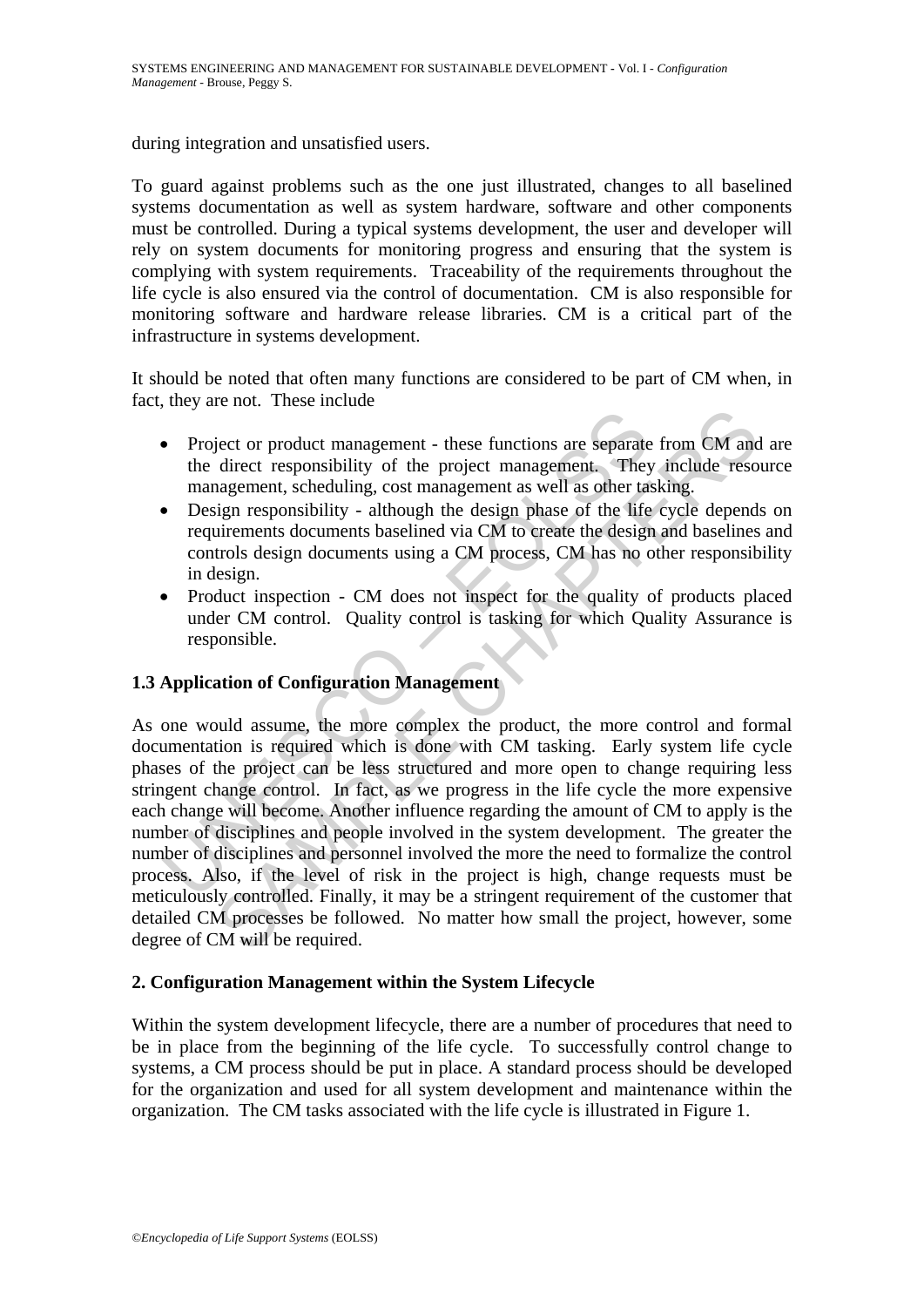during integration and unsatisfied users.

To guard against problems such as the one just illustrated, changes to all baselined systems documentation as well as system hardware, software and other components must be controlled. During a typical systems development, the user and developer will rely on system documents for monitoring progress and ensuring that the system is complying with system requirements. Traceability of the requirements throughout the life cycle is also ensured via the control of documentation. CM is also responsible for monitoring software and hardware release libraries. CM is a critical part of the infrastructure in systems development.

It should be noted that often many functions are considered to be part of CM when, in fact, they are not. These include

- Project or product management these functions are separate from CM and are the direct responsibility of the project management. They include resource management, scheduling, cost management as well as other tasking.
- Design responsibility although the design phase of the life cycle depends on requirements documents baselined via CM to create the design and baselines and controls design documents using a CM process, CM has no other responsibility in design.
- Product inspection CM does not inspect for the quality of products placed under CM control. Quality control is tasking for which Quality Assurance is responsible.

## **1.3 Application of Configuration Management**

• Project or product management - these functions are separate<br>the direct responsibility of the project management. They<br>management, scheduling, cost management as well as other tat<br>Design responsibility - although the des From Control management - these functions are separate from CM and<br>direct responsibility of the project management. They include reso<br>anagement, scheduling, cost management as well as other tasking.<br>sign responsibility - a As one would assume, the more complex the product, the more control and formal documentation is required which is done with CM tasking. Early system life cycle phases of the project can be less structured and more open to change requiring less stringent change control. In fact, as we progress in the life cycle the more expensive each change will become. Another influence regarding the amount of CM to apply is the number of disciplines and people involved in the system development. The greater the number of disciplines and personnel involved the more the need to formalize the control process. Also, if the level of risk in the project is high, change requests must be meticulously controlled. Finally, it may be a stringent requirement of the customer that detailed CM processes be followed. No matter how small the project, however, some degree of CM will be required.

## **2. Configuration Management within the System Lifecycle**

Within the system development lifecycle, there are a number of procedures that need to be in place from the beginning of the life cycle. To successfully control change to systems, a CM process should be put in place. A standard process should be developed for the organization and used for all system development and maintenance within the organization. The CM tasks associated with the life cycle is illustrated in Figure 1.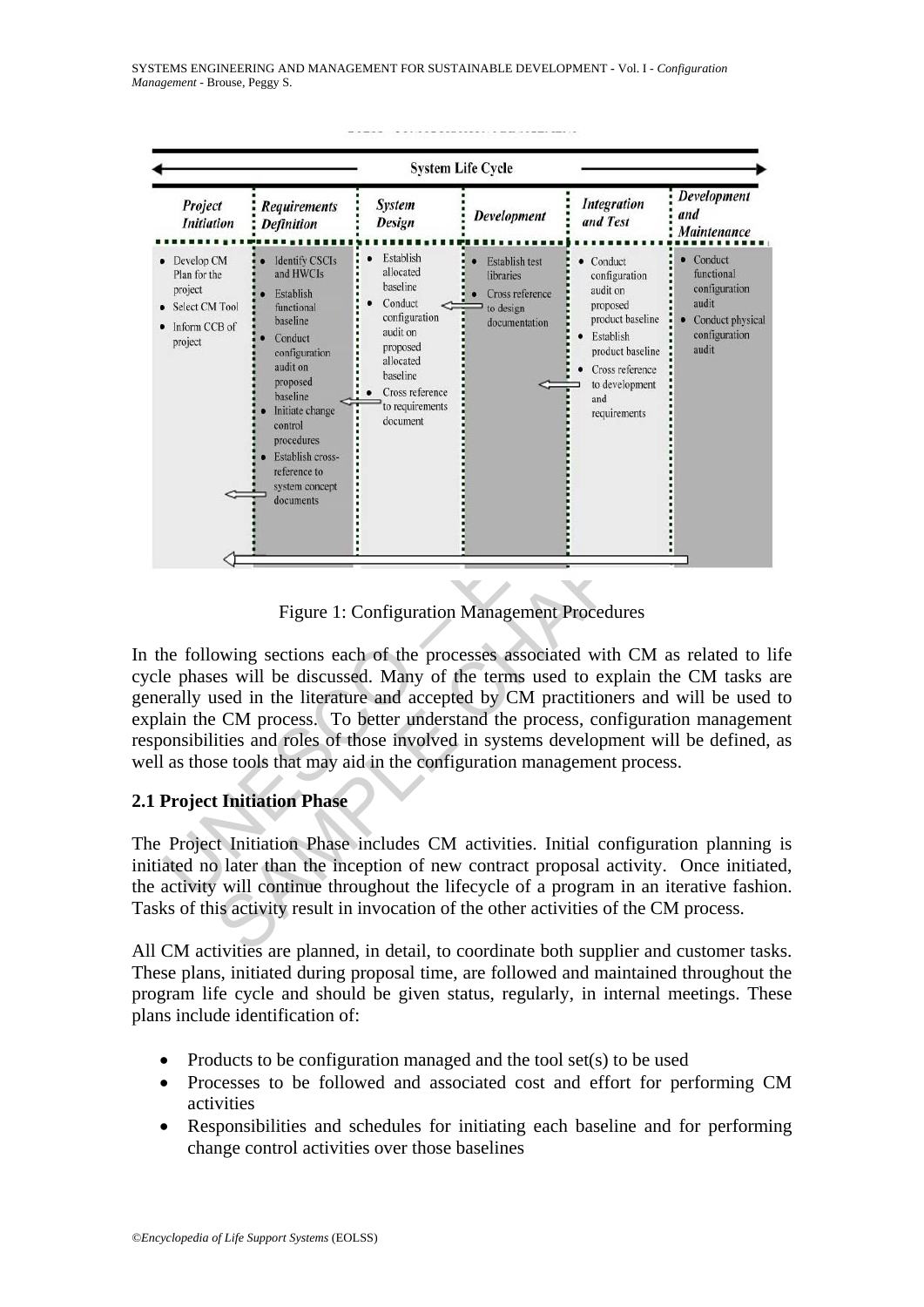SYSTEMS ENGINEERING AND MANAGEMENT FOR SUSTAINABLE DEVELOPMENT **-** Vol. I - *Configuration Management* - Brouse, Peggy S.

| <b>System Life Cycle</b>                                                            |                                                                                                                                                                                                                                                                                                                                                                                                                                                                                                            |                                                                                                                                                                   |                                                                                     |                                                                                                                                                                   |                                                                                               |
|-------------------------------------------------------------------------------------|------------------------------------------------------------------------------------------------------------------------------------------------------------------------------------------------------------------------------------------------------------------------------------------------------------------------------------------------------------------------------------------------------------------------------------------------------------------------------------------------------------|-------------------------------------------------------------------------------------------------------------------------------------------------------------------|-------------------------------------------------------------------------------------|-------------------------------------------------------------------------------------------------------------------------------------------------------------------|-----------------------------------------------------------------------------------------------|
| Project<br><b>Initiation</b>                                                        | <b>Requirements</b><br><b>Definition</b>                                                                                                                                                                                                                                                                                                                                                                                                                                                                   | <b>System</b><br><b>Design</b>                                                                                                                                    | <b>Development</b>                                                                  | <b>Integration</b><br>and Test                                                                                                                                    | Development<br>and<br><b>Maintenance</b>                                                      |
| Develop CM<br>Plan for the<br>project<br>Select CM Tool<br>Inform CCB of<br>project | <b>Identify CSCIs</b><br>and HWCIs<br>Establish<br>functional<br>baseline<br>Conduct<br>configuration<br>audit on<br>proposed<br>baseline<br>Initiate change<br>control<br>procedures<br>Establish cross-<br>reference to<br>system concept<br>documents                                                                                                                                                                                                                                                   | Establish<br>allocated<br>baseline<br>Conduct<br>configuration<br>audit on<br>proposed<br>allocated<br>baseline<br>Cross reference<br>to requirements<br>document | <b>Establish test</b><br>libraries<br>Cross reference<br>to design<br>documentation | Conduct<br>configuration<br>audit on<br>proposed<br>product baseline<br>Establish<br>product baseline<br>Cross reference<br>to development<br>and<br>requirements | Conduct<br>functional<br>configuration<br>audit<br>Conduct physical<br>configuration<br>audit |
|                                                                                     | the following sections each of the processes associated with CM as related to 1<br>cle phases will be discussed. Many of the terms used to explain the CM tasks<br>enerally used in the literature and accepted by CM practitioners and will be used<br>plain the CM process. To better understand the process, configuration management<br>sponsibilities and roles of those involved in systems development will be defined,<br>ell as those tools that may aid in the configuration management process. | <b>Figure 1: Configuration Management Procedures</b>                                                                                                              |                                                                                     |                                                                                                                                                                   |                                                                                               |
|                                                                                     | <b>1 Project Initiation Phase</b>                                                                                                                                                                                                                                                                                                                                                                                                                                                                          |                                                                                                                                                                   |                                                                                     |                                                                                                                                                                   |                                                                                               |
|                                                                                     | ne Project Initiation Phase includes CM activities. Initial configuration planning<br>itiated no later than the inception of new contract proposal activity. Once initiate<br>e activity will continue throughout the lifecycle of a program in an iterative fashio<br>asks of this activity result in invocation of the other activities of the CM process.                                                                                                                                               |                                                                                                                                                                   |                                                                                     |                                                                                                                                                                   |                                                                                               |
|                                                                                     | If CM activities are planned in detail to coordinate both supplier and customer tas                                                                                                                                                                                                                                                                                                                                                                                                                        |                                                                                                                                                                   |                                                                                     |                                                                                                                                                                   |                                                                                               |

Figure 1: Configuration Management Procedures

In the following sections each of the processes associated with CM as related to life cycle phases will be discussed. Many of the terms used to explain the CM tasks are generally used in the literature and accepted by CM practitioners and will be used to explain the CM process. To better understand the process, configuration management responsibilities and roles of those involved in systems development will be defined, as well as those tools that may aid in the configuration management process.

## **2.1 Project Initiation Phase**

The Project Initiation Phase includes CM activities. Initial configuration planning is initiated no later than the inception of new contract proposal activity. Once initiated, the activity will continue throughout the lifecycle of a program in an iterative fashion. Tasks of this activity result in invocation of the other activities of the CM process.

All CM activities are planned, in detail, to coordinate both supplier and customer tasks. These plans, initiated during proposal time, are followed and maintained throughout the program life cycle and should be given status, regularly, in internal meetings. These plans include identification of:

- Products to be configuration managed and the tool set(s) to be used
- Processes to be followed and associated cost and effort for performing CM activities
- Responsibilities and schedules for initiating each baseline and for performing change control activities over those baselines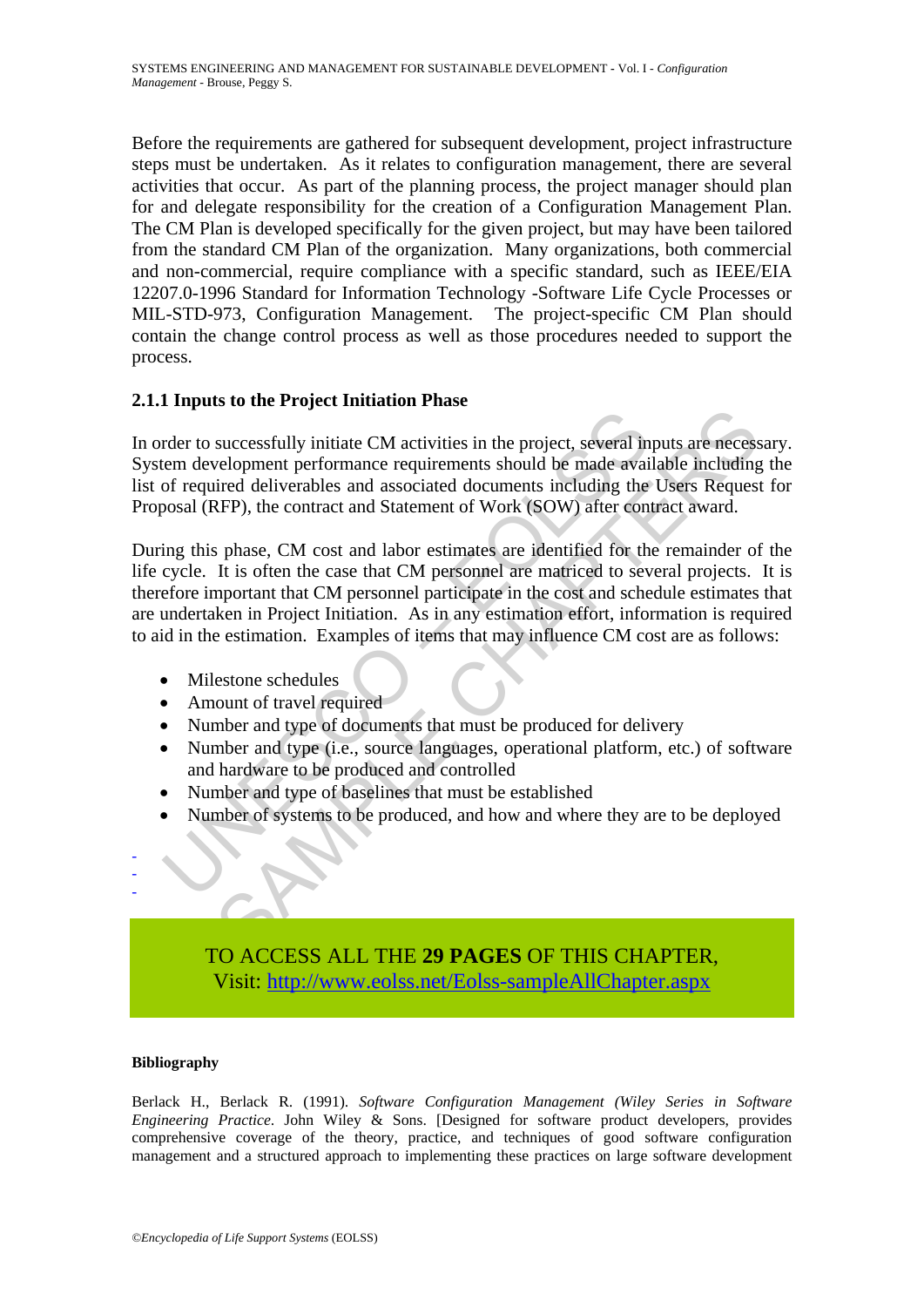Before the requirements are gathered for subsequent development, project infrastructure steps must be undertaken. As it relates to configuration management, there are several activities that occur. As part of the planning process, the project manager should plan for and delegate responsibility for the creation of a Configuration Management Plan. The CM Plan is developed specifically for the given project, but may have been tailored from the standard CM Plan of the organization. Many organizations, both commercial and non-commercial, require compliance with a specific standard, such as IEEE/EIA 12207.0-1996 Standard for Information Technology -Software Life Cycle Processes or MIL-STD-973, Configuration Management.The project-specific CM Plan should contain the change control process as well as those procedures needed to support the process.

## **2.1.1 Inputs to the Project Initiation Phase**

In order to successfully initiate CM activities in the project, several inputs are necessary. System development performance requirements should be made available including the list of required deliverables and associated documents including the Users Request for Proposal (RFP), the contract and Statement of Work (SOW) after contract award.

The controllary initiate CM activities in the project, several in the controllary deformable and associated documents including the consal (RFP), the contract and Statement of Work (SOW) after consider (RFP), the contract successfully initiate CM activities in the project, several inputs are necess<br>successfully initiate CM activities in the project, several inputs are necess<br>right deliverables and associated documents including the Users Re During this phase, CM cost and labor estimates are identified for the remainder of the life cycle. It is often the case that CM personnel are matriced to several projects. It is therefore important that CM personnel participate in the cost and schedule estimates that are undertaken in Project Initiation. As in any estimation effort, information is required to aid in the estimation. Examples of items that may influence CM cost are as follows:

- Milestone schedules
- Amount of travel required
- Number and type of documents that must be produced for delivery
- Number and type (i.e., source languages, operational platform, etc.) of software and hardware to be produced and controlled
- Number and type of baselines that must be established
- Number of systems to be produced, and how and where they are to be deployed



#### **Bibliography**

- - -

Berlack H., Berlack R. (1991). *Software Configuration Management (Wiley Series in Software Engineering Practice*. John Wiley & Sons. [Designed for software product developers, provides comprehensive coverage of the theory, practice, and techniques of good software configuration management and a structured approach to implementing these practices on large software development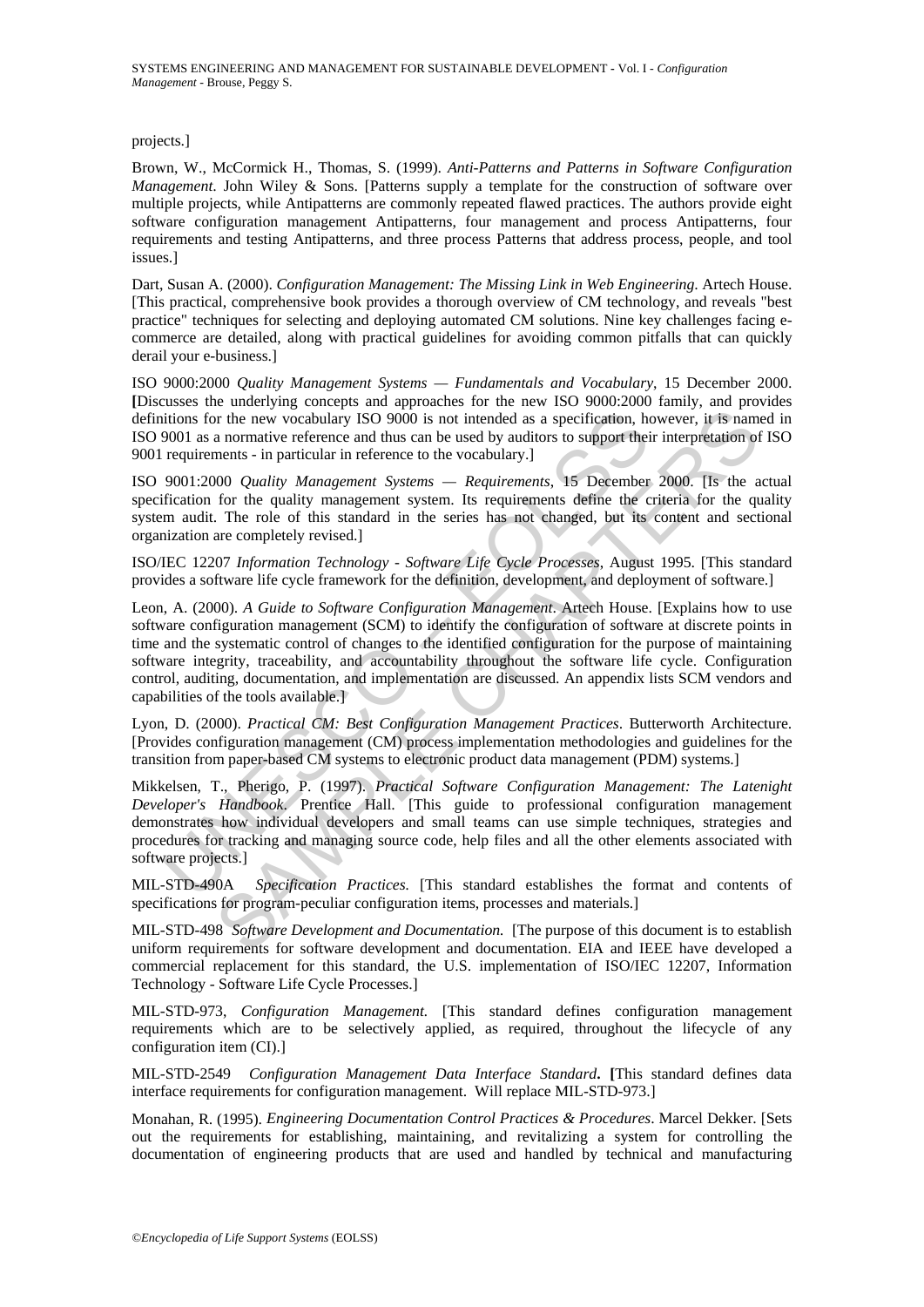SYSTEMS ENGINEERING AND MANAGEMENT FOR SUSTAINABLE DEVELOPMENT **-** Vol. I - *Configuration Management* - Brouse, Peggy S.

#### projects.]

Brown, W., McCormick H., Thomas, S. (1999). *Anti-Patterns and Patterns in Software Configuration Management*. John Wiley & Sons. [Patterns supply a template for the construction of software over multiple projects, while Antipatterns are commonly repeated flawed practices. The authors provide eight software configuration management Antipatterns, four management and process Antipatterns, four requirements and testing Antipatterns, and three process Patterns that address process, people, and tool issues.]

Dart, Susan A. (2000). *Configuration Management: The Missing Link in Web Engineering*. Artech House. [This practical, comprehensive book provides a thorough overview of CM technology, and reveals "best practice" techniques for selecting and deploying automated CM solutions. Nine key challenges facing ecommerce are detailed, along with practical guidelines for avoiding common pitfalls that can quickly derail your e-business.]

ISO 9000:2000 *Quality Management Systems — Fundamentals and Vocabulary*, 15 December 2000. **[**Discusses the underlying concepts and approaches for the new ISO 9000:2000 family, and provides definitions for the new vocabulary ISO 9000 is not intended as a specification, however, it is named in ISO 9001 as a normative reference and thus can be used by auditors to support their interpretation of ISO 9001 requirements - in particular in reference to the vocabulary.]

ISO 9001:2000 *Quality Management Systems — Requirements*, 15 December 2000. [Is the actual specification for the quality management system. Its requirements define the criteria for the quality system audit. The role of this standard in the series has not changed, but its content and sectional organization are completely revised.]

ISO/IEC 12207 *Information Technology - Software Life Cycle Processes*, August 1995. [This standard provides a software life cycle framework for the definition, development, and deployment of software.]

itions for the new vocabulary ISO 9000 is not intended as a specification, he<br>9001 as a normative reference and thus can be used by auditors to support their<br>requirements - in particular in reference to the cocabulary.]<br>P0 or the new vocabulary ISO 9000 is not intended as a specification, however, it is name anomative reference and thus can be used by auditors to support their interpretation of the new vocabulary ISO 9000 is not intended as Leon, A. (2000). *A Guide to Software Configuration Management*. Artech House. [Explains how to use software configuration management (SCM) to identify the configuration of software at discrete points in time and the systematic control of changes to the identified configuration for the purpose of maintaining software integrity, traceability, and accountability throughout the software life cycle. Configuration control, auditing, documentation, and implementation are discussed. An appendix lists SCM vendors and capabilities of the tools available.]

Lyon, D. (2000). *Practical CM: Best Configuration Management Practices*. Butterworth Architecture. [Provides configuration management (CM) process implementation methodologies and guidelines for the transition from paper-based CM systems to electronic product data management (PDM) systems.]

Mikkelsen, T., Pherigo, P. (1997). *Practical Software Configuration Management: The Latenight Developer's Handbook*. Prentice Hall. [This guide to professional configuration management demonstrates how individual developers and small teams can use simple techniques, strategies and procedures for tracking and managing source code, help files and all the other elements associated with software projects.]

MIL-STD-490A*Specification Practices.* [This standard establishes the format and contents of specifications for program-peculiar configuration items, processes and materials.]

MIL-STD-498*Software Development and Documentation.* [The purpose of this document is to establish uniform requirements for software development and documentation. EIA and IEEE have developed a commercial replacement for this standard, the U.S. implementation of ISO/IEC 12207, Information Technology - Software Life Cycle Processes.]

MIL-STD-973, *Configuration Management.* [This standard defines configuration management requirements which are to be selectively applied, as required, throughout the lifecycle of any configuration item (CI).]

MIL-STD-2549*Configuration Management Data Interface Standard***. [**This standard defines data interface requirements for configuration management. Will replace MIL-STD-973.]

Monahan, R. (1995). *Engineering Documentation Control Practices & Procedures*. Marcel Dekker. [Sets out the requirements for establishing, maintaining, and revitalizing a system for controlling the documentation of engineering products that are used and handled by technical and manufacturing